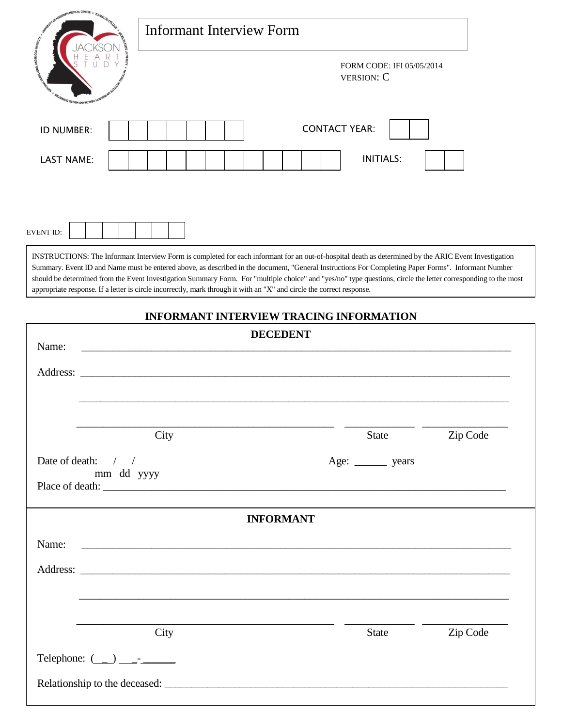| states to Montage Hills, a Toucation                                        | Informant Interview Form                                                                                              |                                                                                                                                                                                                                                                                                                                                                                                                                                                                                |
|-----------------------------------------------------------------------------|-----------------------------------------------------------------------------------------------------------------------|--------------------------------------------------------------------------------------------------------------------------------------------------------------------------------------------------------------------------------------------------------------------------------------------------------------------------------------------------------------------------------------------------------------------------------------------------------------------------------|
| <b>MOOD WAY USE INTO AND BLOOD IN</b><br><b>SALIANASIO HEYTH DIVERTIBLE</b> |                                                                                                                       | FORM CODE: IFI 05/05/2014<br><b>VERSION: C</b>                                                                                                                                                                                                                                                                                                                                                                                                                                 |
| ID NUMBER:                                                                  |                                                                                                                       | <b>CONTACT YEAR:</b>                                                                                                                                                                                                                                                                                                                                                                                                                                                           |
| <b>LAST NAME:</b>                                                           |                                                                                                                       | <b>INITIALS:</b>                                                                                                                                                                                                                                                                                                                                                                                                                                                               |
| <b>EVENT ID:</b>                                                            |                                                                                                                       |                                                                                                                                                                                                                                                                                                                                                                                                                                                                                |
|                                                                             | appropriate response. If a letter is circle incorrectly, mark through it with an "X" and circle the correct response. | INSTRUCTIONS: The Informant Interview Form is completed for each informant for an out-of-hospital death as determined by the ARIC Event Investigation<br>Summary. Event ID and Name must be entered above, as described in the document, "General Instructions For Completing Paper Forms". Informant Number<br>should be determined from the Event Investigation Summary Form. For "multiple choice" and "yes/no" type questions, circle the letter corresponding to the most |

## **INFORMANT INTERVIEW TRACING INFORMATION**

Г

| <b>DECEDENT</b><br>Name:                                                                                                       |                     |          |
|--------------------------------------------------------------------------------------------------------------------------------|---------------------|----------|
|                                                                                                                                |                     |          |
|                                                                                                                                |                     |          |
| City                                                                                                                           | State               | Zip Code |
| Date of death: $\frac{1}{2}$                                                                                                   | Age: ________ years |          |
| mm dd yyyy                                                                                                                     |                     |          |
| <b>INFORMANT</b>                                                                                                               |                     |          |
| Name:<br><u> 1989 - Johann Johann Stoff, deutscher Stoffen und der Stoffen und der Stoffen und der Stoffen und der Stoffen</u> |                     |          |
|                                                                                                                                |                     |          |
|                                                                                                                                |                     |          |
| City                                                                                                                           | <b>State</b>        | Zip Code |
| Telephone: $(\_\_) \_\_\_$                                                                                                     |                     |          |
|                                                                                                                                |                     |          |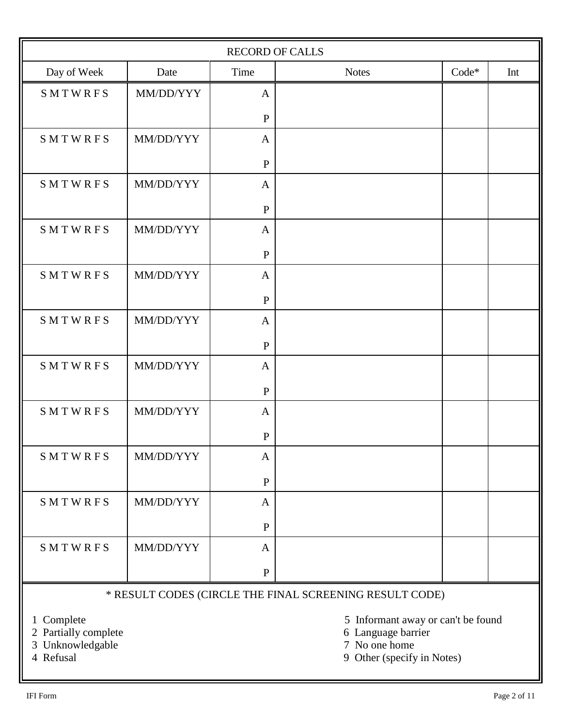| <b>RECORD OF CALLS</b>                                    |           |              |              |       |     |
|-----------------------------------------------------------|-----------|--------------|--------------|-------|-----|
| Day of Week                                               | Date      | Time         | <b>Notes</b> | Code* | Int |
| SMTWRFS                                                   | MM/DD/YYY | $\mathbf{A}$ |              |       |     |
|                                                           |           | ${\bf P}$    |              |       |     |
| SMTWRFS                                                   | MM/DD/YYY | $\mathbf{A}$ |              |       |     |
|                                                           |           | $\, {\bf P}$ |              |       |     |
| SMTWRFS                                                   | MM/DD/YYY | $\mathbf{A}$ |              |       |     |
|                                                           |           | $\, {\bf P}$ |              |       |     |
| SMTWRFS                                                   | MM/DD/YYY | $\mathbf{A}$ |              |       |     |
|                                                           |           | $\, {\bf P}$ |              |       |     |
| SMTWRFS                                                   | MM/DD/YYY | $\mathbf{A}$ |              |       |     |
|                                                           |           | $\, {\bf P}$ |              |       |     |
| SMTWRFS                                                   | MM/DD/YYY | $\mathbf{A}$ |              |       |     |
|                                                           |           | $\, {\bf P}$ |              |       |     |
| SMTWRFS                                                   | MM/DD/YYY | $\mathbf{A}$ |              |       |     |
|                                                           |           | $\mathbf{P}$ |              |       |     |
| SMTWRFS                                                   | MM/DD/YYY | $\mathbf{A}$ |              |       |     |
|                                                           |           | ${\bf P}$    |              |       |     |
| SMTWRFS                                                   | MM/DD/YYY | A            |              |       |     |
|                                                           |           | $\, {\bf P}$ |              |       |     |
| SMTWRFS                                                   | MM/DD/YYY | $\mathbf{A}$ |              |       |     |
|                                                           |           | $\, {\bf P}$ |              |       |     |
| SMTWRFS                                                   | MM/DD/YYY | $\mathbf{A}$ |              |       |     |
|                                                           |           | $\mathbf{P}$ |              |       |     |
| * DECHILT CODES (CIDCLE THE EIMAL SCREENING RESHILT CODE) |           |              |              |       |     |

## \* RESULT CODES (CIRCLE THE FINAL SCREENING RESULT CODE)

- 2 Partially complete 6 Language barrier
- 3 Unknowledgable 7 No one home

- 1 Complete 5 Informant away or can't be found<br>
2 Partially complete 6 Language barrier
	-
	-
- 4 Refusal 9 Other (specify in Notes)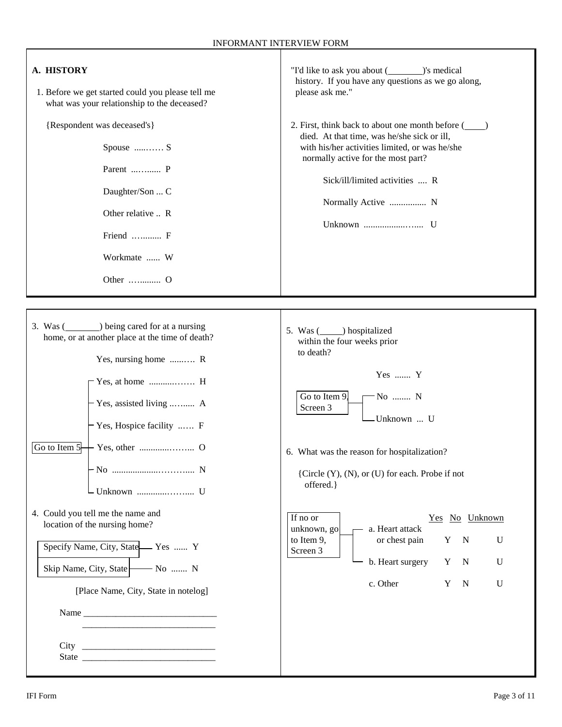| A. HISTORY<br>1. Before we get started could you please tell me<br>what was your relationship to the deceased?<br>{Respondent was deceased's}<br>Spouse  S<br>Parent  P<br>Daughter/Son  C<br>Other relative  R<br>Friend  F<br>Workmate  W                                                                                                                                         | "I'd like to ask you about (see the set of smedical<br>history. If you have any questions as we go along,<br>please ask me."<br>2. First, think back to about one month before (<br>died. At that time, was he/she sick or ill,<br>with his/her activities limited, or was he/she<br>normally active for the most part?<br>Sick/ill/limited activities  R<br>Normally Active  N                                                                                                                          |  |  |  |  |  |
|-------------------------------------------------------------------------------------------------------------------------------------------------------------------------------------------------------------------------------------------------------------------------------------------------------------------------------------------------------------------------------------|----------------------------------------------------------------------------------------------------------------------------------------------------------------------------------------------------------------------------------------------------------------------------------------------------------------------------------------------------------------------------------------------------------------------------------------------------------------------------------------------------------|--|--|--|--|--|
| 3. Was (see ) being cared for at a nursing<br>home, or at another place at the time of death?<br>Yes, nursing home  R<br>- Yes, assisted living  A<br>- Yes, Hospice facility  F<br>Go to Item 5-<br>4. Could you tell me the name and<br>location of the nursing home?<br>Specify Name, City, State Yes  Y<br>Skip Name, City, State No  N<br>[Place Name, City, State in notelog] | 5. Was (see ) hospitalized<br>within the four weeks prior<br>to death?<br>Yes  Y<br>Go to Item 9.<br>$-No$ N<br>Screen 3<br>-Unknown  U<br>6. What was the reason for hospitalization?<br>{Circle (Y), (N), or (U) for each. Probe if not<br>offered.}<br>If no or<br>Yes No Unknown<br>unknown, go<br>a. Heart attack<br>$\overline{\phantom{0}}$<br>to Item 9,<br>or chest pain<br>Y<br>U<br>$\mathbf N$<br>Screen 3<br>b. Heart surgery<br>Y<br>U<br>$\mathbf N$<br>c. Other<br>U<br>Y<br>$\mathbf N$ |  |  |  |  |  |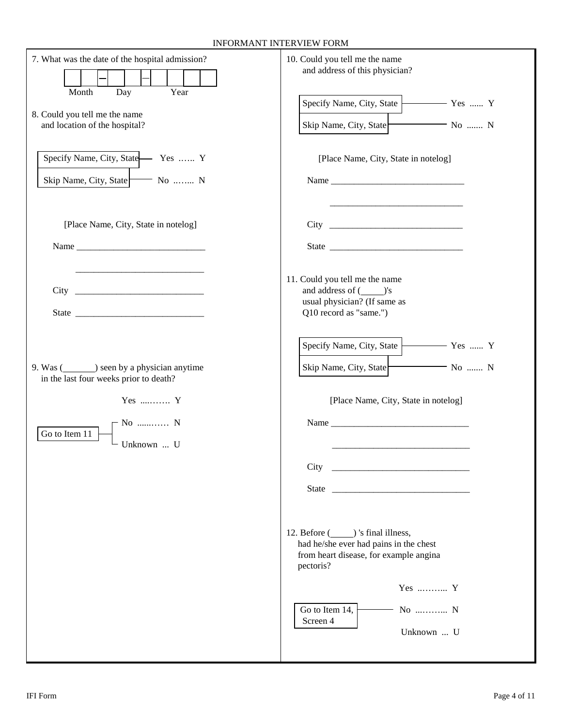| 7. What was the date of the hospital admission?<br>Day<br>Month<br>Year<br>8. Could you tell me the name<br>and location of the hospital?                                                                                                                             | 10. Could you tell me the name<br>and address of this physician?<br>Specify Name, City, State   Yes  Y<br>Skip Name, City, State<br>$-$ No  N                                                                                                                                                                                                                                                                                                         |
|-----------------------------------------------------------------------------------------------------------------------------------------------------------------------------------------------------------------------------------------------------------------------|-------------------------------------------------------------------------------------------------------------------------------------------------------------------------------------------------------------------------------------------------------------------------------------------------------------------------------------------------------------------------------------------------------------------------------------------------------|
| Specify Name, City, State Yes  Y<br>Skip Name, City, State No  N                                                                                                                                                                                                      | [Place Name, City, State in notelog]<br>Name $\frac{1}{\sqrt{1-\frac{1}{2}}\sqrt{1-\frac{1}{2}}\sqrt{1-\frac{1}{2}}\sqrt{1-\frac{1}{2}}\sqrt{1-\frac{1}{2}}\sqrt{1-\frac{1}{2}}\sqrt{1-\frac{1}{2}}\sqrt{1-\frac{1}{2}}\sqrt{1-\frac{1}{2}}\sqrt{1-\frac{1}{2}}\sqrt{1-\frac{1}{2}}\sqrt{1-\frac{1}{2}}\sqrt{1-\frac{1}{2}}\sqrt{1-\frac{1}{2}}\sqrt{1-\frac{1}{2}}\sqrt{1-\frac{1}{2}}\sqrt{1-\frac{1}{2}}\sqrt{1-\frac{1}{2}}\sqrt{1-\frac{1}{2}}\$ |
| [Place Name, City, State in notelog]<br>Name and the same state of the state of the state of the state of the state of the state of the state of the state of the state of the state of the state of the state of the state of the state of the state of the state of |                                                                                                                                                                                                                                                                                                                                                                                                                                                       |
| State and the state of the state of the state of the state of the state of the state of the state of the state of the state of the state of the state of the state of the state of the state of the state of the state of the                                         | 11. Could you tell me the name<br>and address of (________)'s<br>usual physician? (If same as<br>Q10 record as "same.")                                                                                                                                                                                                                                                                                                                               |
| 9. Was (seen by a physician anytime<br>in the last four weeks prior to death?<br>Yes  Y                                                                                                                                                                               | Specify Name, City, State   Yes  Y<br>Skip Name, City, State No  N<br>[Place Name, City, State in notelog]                                                                                                                                                                                                                                                                                                                                            |
| $\Gamma$ No  N<br>Go to Item 11<br>Unknown  U                                                                                                                                                                                                                         | Name and the state of the state of the state of the state of the state of the state of the state of the state of the state of the state of the state of the state of the state of the state of the state of the state of the s<br>City<br>State                                                                                                                                                                                                       |
|                                                                                                                                                                                                                                                                       | had he/she ever had pains in the chest<br>from heart disease, for example angina<br>pectoris?                                                                                                                                                                                                                                                                                                                                                         |
|                                                                                                                                                                                                                                                                       | $Yes$ $Y$<br>No  N<br>Go to Item 14,<br>Screen 4<br>Unknown  U                                                                                                                                                                                                                                                                                                                                                                                        |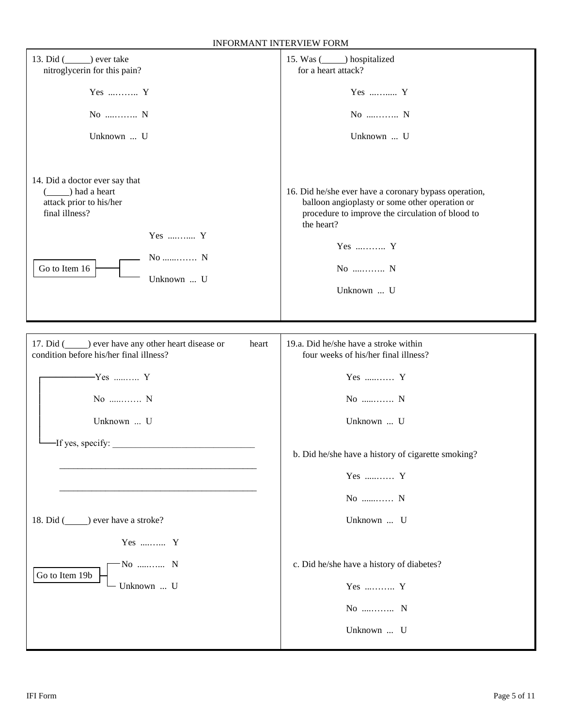| 13. Did () ever take<br>nitroglycerin for this pain?                                                                                                                      | 15. Was (see ) hospitalized<br>for a heart attack?                                                                                                                                                         |
|---------------------------------------------------------------------------------------------------------------------------------------------------------------------------|------------------------------------------------------------------------------------------------------------------------------------------------------------------------------------------------------------|
| Yes $\dots\dots\dots Y$                                                                                                                                                   | Yes  Y                                                                                                                                                                                                     |
| No $N$                                                                                                                                                                    | No  N                                                                                                                                                                                                      |
| Unknown  U                                                                                                                                                                | Unknown  U                                                                                                                                                                                                 |
| 14. Did a doctor ever say that<br>$(\underline{\hspace{1cm}})$ had a heart<br>attack prior to his/her<br>final illness?<br>Yes  Y<br>No  N<br>Go to Item 16<br>Unknown  U | 16. Did he/she ever have a coronary bypass operation,<br>balloon angioplasty or some other operation or<br>procedure to improve the circulation of blood to<br>the heart?<br>Yes  Y<br>No  N<br>Unknown  U |
|                                                                                                                                                                           |                                                                                                                                                                                                            |
| 17. Did (sexually other heart disease or<br>heart<br>condition before his/her final illness?                                                                              | 19.a. Did he/she have a stroke within<br>four weeks of his/her final illness?                                                                                                                              |
| $-Yes$ Y                                                                                                                                                                  | Yes  Y                                                                                                                                                                                                     |
| No  N                                                                                                                                                                     | No  N                                                                                                                                                                                                      |
| Unknown  U                                                                                                                                                                | Unknown  U                                                                                                                                                                                                 |
| -If yes, specify:                                                                                                                                                         |                                                                                                                                                                                                            |
|                                                                                                                                                                           | b. Did he/she have a history of cigarette smoking?                                                                                                                                                         |
|                                                                                                                                                                           | Yes  Y                                                                                                                                                                                                     |
|                                                                                                                                                                           | No  N                                                                                                                                                                                                      |
| 18. Did (see ) ever have a stroke?                                                                                                                                        | Unknown  U                                                                                                                                                                                                 |
| Yes  Y                                                                                                                                                                    |                                                                                                                                                                                                            |
| - No  N<br>Go to Item 19b                                                                                                                                                 | c. Did he/she have a history of diabetes?                                                                                                                                                                  |
| Unknown  U                                                                                                                                                                | Yes  Y                                                                                                                                                                                                     |
|                                                                                                                                                                           | No  N                                                                                                                                                                                                      |
|                                                                                                                                                                           | Unknown  U                                                                                                                                                                                                 |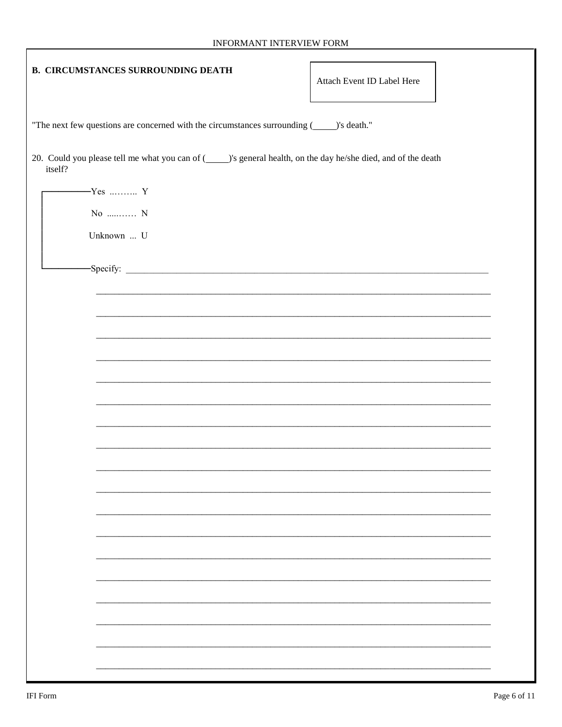| <b>B. CIRCUMSTANCES SURROUNDING DEATH</b>                                                                                  | Attach Event ID Label Here |
|----------------------------------------------------------------------------------------------------------------------------|----------------------------|
| "The next few questions are concerned with the circumstances surrounding (_____)'s death."                                 |                            |
| 20. Could you please tell me what you can of (_____)'s general health, on the day he/she died, and of the death<br>itself? |                            |
| $-Yes$ Y                                                                                                                   |                            |
| No  N                                                                                                                      |                            |
| Unknown  U                                                                                                                 |                            |
|                                                                                                                            |                            |
|                                                                                                                            |                            |
|                                                                                                                            |                            |
|                                                                                                                            |                            |
|                                                                                                                            |                            |
|                                                                                                                            |                            |
|                                                                                                                            |                            |
|                                                                                                                            |                            |
|                                                                                                                            |                            |
|                                                                                                                            |                            |
|                                                                                                                            |                            |
|                                                                                                                            |                            |
|                                                                                                                            |                            |
|                                                                                                                            |                            |
|                                                                                                                            |                            |
|                                                                                                                            |                            |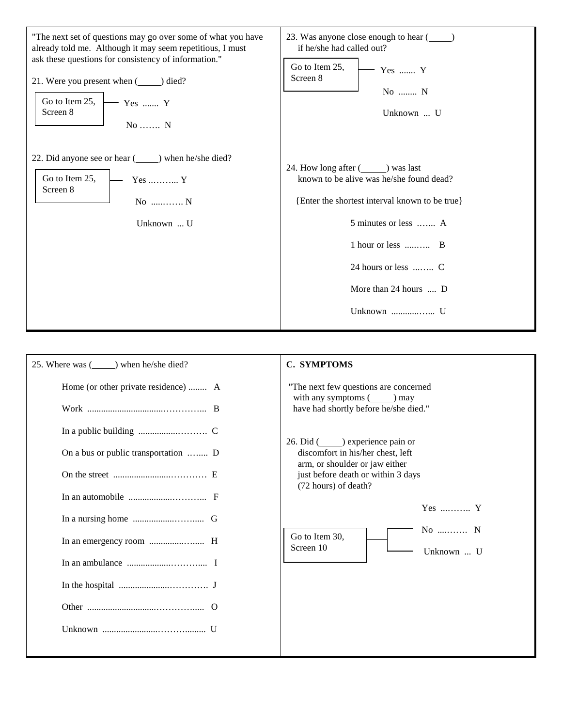| "The next set of questions may go over some of what you have<br>already told me. Although it may seem repetitious, I must<br>ask these questions for consistency of information."<br>21. Were you present when (see ) died?<br>Go to Item 25,<br>Yes  Y<br>Screen 8<br>No  N | 23. Was anyone close enough to hear (<br>if he/she had called out?<br>Go to Item 25,<br>Yes  Y<br>Screen 8<br>No  N<br>Unknown  U                                                                                                           |  |  |
|------------------------------------------------------------------------------------------------------------------------------------------------------------------------------------------------------------------------------------------------------------------------------|---------------------------------------------------------------------------------------------------------------------------------------------------------------------------------------------------------------------------------------------|--|--|
| 22. Did anyone see or hear (simpleright position) when he/she died?<br>Go to Item 25,<br>$Yes \dots S$<br>Screen 8<br>$No$ $N$<br>Unknown  U                                                                                                                                 | 24. How long after (see ) was last<br>known to be alive was he/she found dead?<br>{Enter the shortest interval known to be true}<br>5 minutes or less  A<br>1 hour or less  B<br>24 hours or less  C<br>More than 24 hours  D<br>Unknown  U |  |  |

| 25. Where was (see ) when he/she died?                                                                                                                                       | C. SYMPTOMS                                                                                                                                                                                                                                |
|------------------------------------------------------------------------------------------------------------------------------------------------------------------------------|--------------------------------------------------------------------------------------------------------------------------------------------------------------------------------------------------------------------------------------------|
| Home (or other private residence)  A                                                                                                                                         | "The next few questions are concerned<br>with any symptoms $(\_\_)$ may<br>have had shortly before he/she died."                                                                                                                           |
| On a bus or public transportation  D<br>In an automobile $\dots\dots\dots\dots\dots\dots\dots\dots$ F<br>In the hospital $\dots \dots \dots \dots \dots \dots \dots \dots$ J | 26. Did (see also experience pain or<br>discomfort in his/her chest, left<br>arm, or shoulder or jaw either<br>just before death or within 3 days<br>(72 hours) of death?<br>$Yes$ Y<br>No  N<br>Go to Item 30,<br>Screen 10<br>Unknown  U |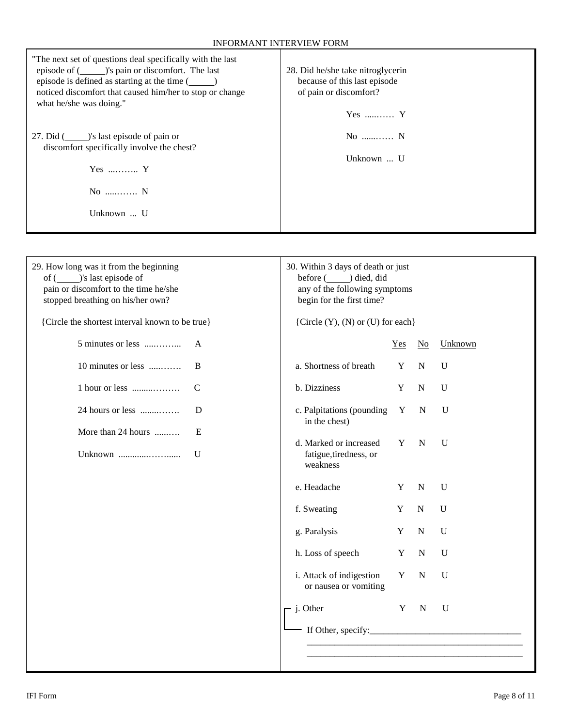| "The next set of questions deal specifically with the last<br>episode of (see )'s pain or discomfort. The last<br>episode is defined as starting at the time (<br>noticed discomfort that caused him/her to stop or change<br>what he/she was doing."<br>27. Did (see )'s last episode of pain or<br>discomfort specifically involve the chest?<br>Yes  Y<br>No  N<br>Unknown  U | 28. Did he/she take nitroglycerin<br>because of this last episode<br>of pain or discomfort?<br>$Yes$ $Y$<br>No  N<br>Unknown  U |              |                        |             |
|----------------------------------------------------------------------------------------------------------------------------------------------------------------------------------------------------------------------------------------------------------------------------------------------------------------------------------------------------------------------------------|---------------------------------------------------------------------------------------------------------------------------------|--------------|------------------------|-------------|
|                                                                                                                                                                                                                                                                                                                                                                                  |                                                                                                                                 |              |                        |             |
| 29. How long was it from the beginning<br>pain or discomfort to the time he/she<br>stopped breathing on his/her own?                                                                                                                                                                                                                                                             | 30. Within 3 days of death or just<br>before ( ) died, did<br>any of the following symptoms<br>begin for the first time?        |              |                        |             |
| {Circle the shortest interval known to be true}                                                                                                                                                                                                                                                                                                                                  | {Circle $(Y)$ , $(N)$ or $(U)$ for each}                                                                                        |              |                        |             |
| $5$ minutes or less<br>$\mathsf{A}$                                                                                                                                                                                                                                                                                                                                              |                                                                                                                                 | $Yes$        | $\overline{\text{No}}$ | Unknown     |
| 10 minutes or less<br>B                                                                                                                                                                                                                                                                                                                                                          | a. Shortness of breath                                                                                                          | Y            | $\mathbf N$            | U           |
| $1$ hour or less<br>$\mathcal{C}$                                                                                                                                                                                                                                                                                                                                                | b. Dizziness                                                                                                                    | Y            | ${\bf N}$              | U           |
| 24 hours or less<br>D                                                                                                                                                                                                                                                                                                                                                            | c. Palpitations (pounding<br>in the chest)                                                                                      | $\mathbf{Y}$ | $\mathbf N$            | U           |
| More than 24 hours<br>E<br>U                                                                                                                                                                                                                                                                                                                                                     | d. Marked or increased<br>fatigue, tiredness, or<br>weakness                                                                    | Y            | N                      | U           |
|                                                                                                                                                                                                                                                                                                                                                                                  | e. Headache                                                                                                                     | Y            | ${\bf N}$              | $\mathbf U$ |
|                                                                                                                                                                                                                                                                                                                                                                                  | f. Sweating                                                                                                                     | Y            | ${\bf N}$              | $\mathbf U$ |
|                                                                                                                                                                                                                                                                                                                                                                                  | g. Paralysis                                                                                                                    | Y            | ${\bf N}$              | $\mathbf U$ |
|                                                                                                                                                                                                                                                                                                                                                                                  | h. Loss of speech                                                                                                               | $\mathbf Y$  | ${\bf N}$              | $\mathbf U$ |
|                                                                                                                                                                                                                                                                                                                                                                                  | i. Attack of indigestion<br>or nausea or vomiting                                                                               | $\mathbf Y$  | $\mathbf N$            | $\mathbf U$ |
|                                                                                                                                                                                                                                                                                                                                                                                  | j. Other                                                                                                                        | $\mathbf Y$  | $\mathbf N$            | $\mathbf U$ |
|                                                                                                                                                                                                                                                                                                                                                                                  | If Other, specify: $\frac{1}{2}$                                                                                                |              |                        |             |
|                                                                                                                                                                                                                                                                                                                                                                                  |                                                                                                                                 |              |                        |             |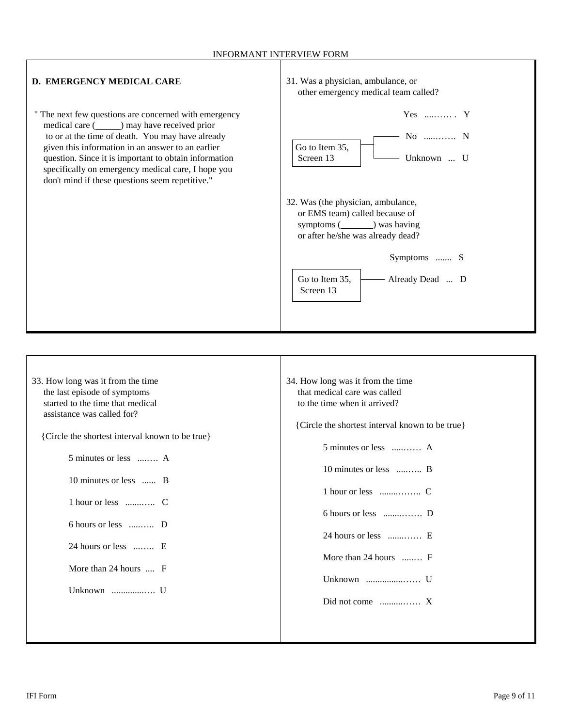## INFORMANT INTERVIEW FORM

| D. EMERGENCY MEDICAL CARE                                                                                                                                                                                                                                                                                                                                                                | 31. Was a physician, ambulance, or<br>other emergency medical team called?                                                                   |
|------------------------------------------------------------------------------------------------------------------------------------------------------------------------------------------------------------------------------------------------------------------------------------------------------------------------------------------------------------------------------------------|----------------------------------------------------------------------------------------------------------------------------------------------|
| " The next few questions are concerned with emergency<br>medical care ( separation 2) may have received prior<br>to or at the time of death. You may have already<br>given this information in an answer to an earlier<br>question. Since it is important to obtain information<br>specifically on emergency medical care, I hope you<br>don't mind if these questions seem repetitive." | $Yes$ $Y$<br>$No$ $N$<br>Go to Item 35,<br>Screen 13<br>Unknown  U                                                                           |
|                                                                                                                                                                                                                                                                                                                                                                                          | 32. Was (the physician, ambulance,<br>or EMS team) called because of<br>symptoms $(\_\_\_\)$ was having<br>or after he/she was already dead? |
|                                                                                                                                                                                                                                                                                                                                                                                          | Symptoms  S<br>Go to Item 35,<br>Already Dead  D<br>Screen 13                                                                                |

| 33. How long was it from the time               | 34. How long was it from the time               |
|-------------------------------------------------|-------------------------------------------------|
| the last episode of symptoms                    | that medical care was called                    |
| started to the time that medical                | to the time when it arrived?                    |
| assistance was called for?                      |                                                 |
|                                                 | {Circle the shortest interval known to be true} |
| {Circle the shortest interval known to be true} |                                                 |
|                                                 | 5 minutes or less  A                            |
| 5 minutes or less  A                            |                                                 |
|                                                 | 10 minutes or less  B                           |
| 10 minutes or less  B                           |                                                 |
|                                                 |                                                 |
|                                                 |                                                 |
|                                                 |                                                 |
| 6 hours or less  D                              |                                                 |
|                                                 | 24 hours or less  E                             |
| 24 hours or less  E                             |                                                 |
|                                                 | More than 24 hours  F                           |
| More than $24$ hours $\ldots$ F                 |                                                 |
|                                                 |                                                 |
| Unknown  U                                      |                                                 |
|                                                 |                                                 |
|                                                 |                                                 |
|                                                 |                                                 |
|                                                 |                                                 |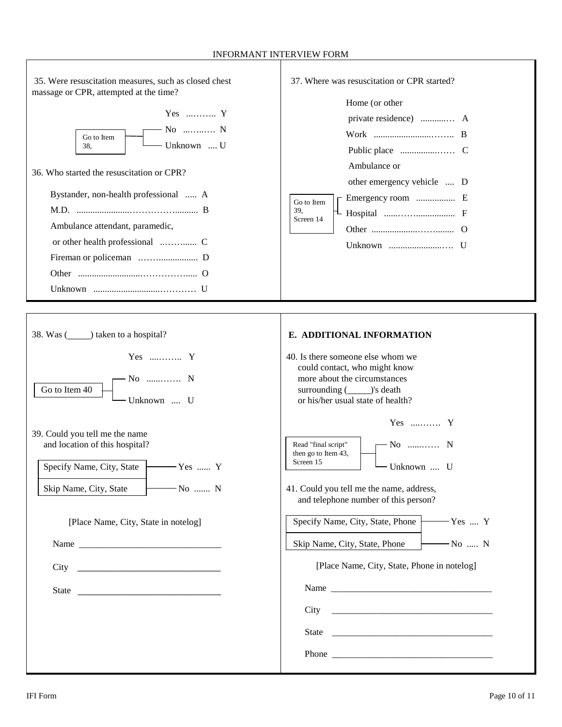